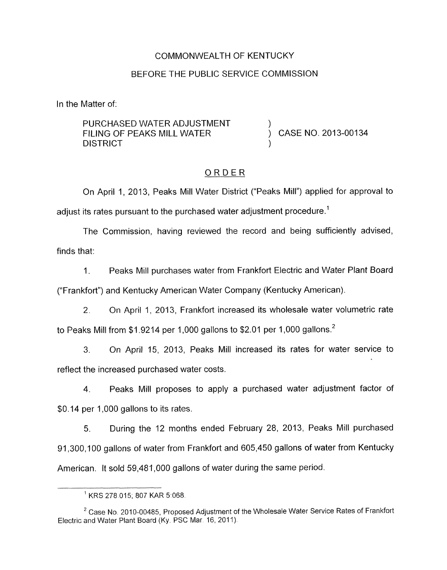### COMMONWEALTH OF KENTUCKY

### BEFORE THE PUBLIC SERVICE COMMISSION

In the Matter of:

PURCHASED WATER ADJUSTMENT FILING OF PEAKS MILL WATER  $\overrightarrow{)}$  CASE NO. 2013-00134 **DISTRICT** 

### ORDER

On April 1, 2013, Peaks Mill Water District ("Peaks Mill") applied for approval to adjust its rates pursuant to the purchased water adjustment procedure.<sup>1</sup>

The Commission, having reviewed the record and being sufficiently advised, finds that:

1. Peaks Mill purchases water from Frankfort Electric and Water Plant Board

("Frankfort") and Kentucky American Water Company (Kentucky American).

2. On April 1, 2013, Frankfort increased its wholesale water volumetric rate to Peaks Mill from \$1.9214 per 1,000 gallons to \$2.01 per 1,000 gallons.<sup>2</sup>

**3.** On April 15, 2013, Peaks Mill increased its rates for water service to reflect the increased purchased water costs.

4. Peaks Mill proposes to apply a purchased water adjustment factor of \$0.14 per 1,000 gallons to its rates.

*5.* During the 12 months ended February 28, 2013, Peaks Mill purchased 91,300,100 gallons of water from Frankfort and 605,450 gallons of water from Kentucky American. It sold 59,481,000 gallons of water during the same period.

<sup>&#</sup>x27; KRS 278 015, 807 KAR 5-068.

<sup>&</sup>lt;sup>2</sup> Case No. 2010-00485, Proposed Adjustment of the Wholesale Water Service Rates of Frankfort Electric and Water Plant Board (Ky. PSC Mar. 16, 2011).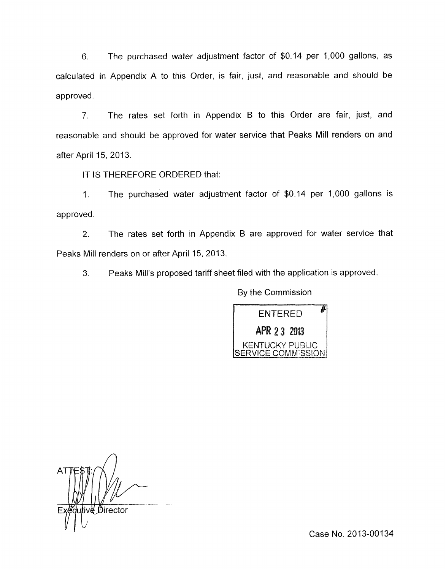6. The purchased water adjustment factor of \$0.14 per 1,000 gallons, as calculated in Appendix A to this Order, is fair, just, and reasonable and should be approved

7. The rates set forth in Appendix B to this Order are fair, just, and reasonable and should be approved for water service that Peaks Mill renders on and after April 15, 2013.

IT IS THEREFORE ORDERED that:

1. The purchased water adjustment factor of \$0.14 per 1,000 gallons is approved.

2. The rates set forth in Appendix B are approved for water service that Peaks Mill renders on or after April 15, 2013.

**3.** Peaks Mill's proposed tariff sheet filed with the application is approved.

By the Commission



AΤ Director

Case No. 2013-00134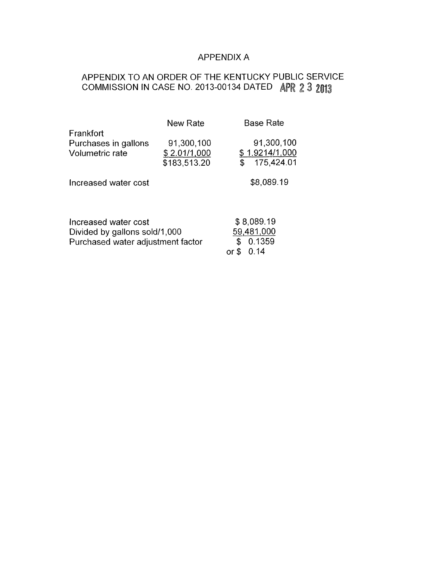## APPENDIX A

# APPENDIX TO AN ORDER OF THE KENTUCKY PUBLIC SERVICE COMMISSION IN CASE NO. 2013-00134 DATED APR 2 3 2013

|                                   | New Rate     | <b>Base Rate</b> |
|-----------------------------------|--------------|------------------|
| Frankfort                         |              |                  |
| Purchases in gallons              | 91,300,100   | 91,300,100       |
| Volumetric rate                   | \$2.01/1,000 | \$1.9214/1,000   |
|                                   | \$183,513.20 | 175,424.01       |
| Increased water cost              |              | \$8,089.19       |
| Increased water cost              |              | \$8,089.19       |
| Divided by gallons sold/1,000     |              | 59,481,000       |
| Purchased water adjustment factor |              | 0.1359<br>\$     |
|                                   |              | 0.14<br>or \$    |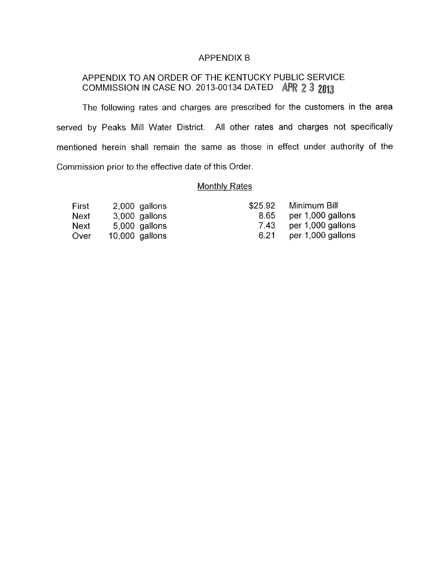#### APPENDIX B

## APPENDIX TO AN ORDER OF THE KENTUCKY PUBLIC SERVICE COMMISSION IN CASE NO. 2013-00134 DATED APR 2 3 2013

The following rates and charges are prescribed for the customers in the area served by Peaks Mill Water District. All other rates and charges not specifically mentioned herein shall remain the same as those in effect under authority of the Commission prior to the effective date of this Order.

## **Monthly Rates**

| First | 2,000 gallons  |
|-------|----------------|
| Next  | 3,000 gallons  |
| Next  | 5,000 gallons  |
| Over  | 10,000 gallons |

| \$25.92 | Minimum Bill      |
|---------|-------------------|
| 8.65    | per 1,000 gallons |
| 7.43    | per 1,000 gallons |
| 6.21    | per 1,000 gallons |